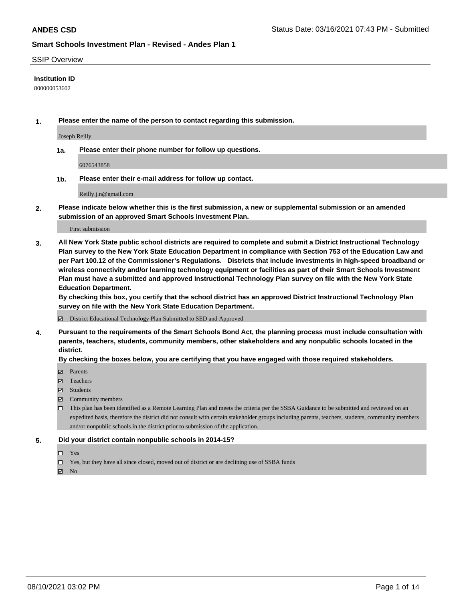#### SSIP Overview

#### **Institution ID**

800000053602

**1. Please enter the name of the person to contact regarding this submission.**

Joseph Reilly

**1a. Please enter their phone number for follow up questions.**

6076543858

**1b. Please enter their e-mail address for follow up contact.**

Reilly.j.n@gmail.com

**2. Please indicate below whether this is the first submission, a new or supplemental submission or an amended submission of an approved Smart Schools Investment Plan.**

#### First submission

**3. All New York State public school districts are required to complete and submit a District Instructional Technology Plan survey to the New York State Education Department in compliance with Section 753 of the Education Law and per Part 100.12 of the Commissioner's Regulations. Districts that include investments in high-speed broadband or wireless connectivity and/or learning technology equipment or facilities as part of their Smart Schools Investment Plan must have a submitted and approved Instructional Technology Plan survey on file with the New York State Education Department.** 

**By checking this box, you certify that the school district has an approved District Instructional Technology Plan survey on file with the New York State Education Department.**

District Educational Technology Plan Submitted to SED and Approved

**4. Pursuant to the requirements of the Smart Schools Bond Act, the planning process must include consultation with parents, teachers, students, community members, other stakeholders and any nonpublic schools located in the district.** 

#### **By checking the boxes below, you are certifying that you have engaged with those required stakeholders.**

- **Parents**
- Teachers
- Students
- $\boxtimes$  Community members
- This plan has been identified as a Remote Learning Plan and meets the criteria per the SSBA Guidance to be submitted and reviewed on an expedited basis, therefore the district did not consult with certain stakeholder groups including parents, teachers, students, community members and/or nonpublic schools in the district prior to submission of the application.
- **5. Did your district contain nonpublic schools in 2014-15?**
	- □ Yes
	- □ Yes, but they have all since closed, moved out of district or are declining use of SSBA funds

 $M$  No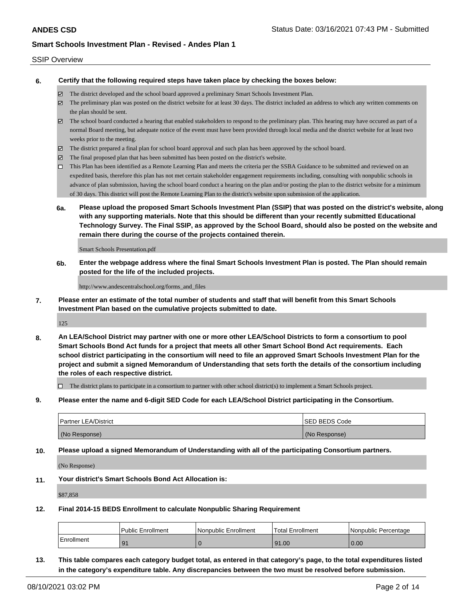#### SSIP Overview

**6. Certify that the following required steps have taken place by checking the boxes below:**

- The district developed and the school board approved a preliminary Smart Schools Investment Plan.
- The preliminary plan was posted on the district website for at least 30 days. The district included an address to which any written comments on the plan should be sent.
- $\boxtimes$  The school board conducted a hearing that enabled stakeholders to respond to the preliminary plan. This hearing may have occured as part of a normal Board meeting, but adequate notice of the event must have been provided through local media and the district website for at least two weeks prior to the meeting.
- The district prepared a final plan for school board approval and such plan has been approved by the school board.
- $\boxtimes$  The final proposed plan that has been submitted has been posted on the district's website.
- This Plan has been identified as a Remote Learning Plan and meets the criteria per the SSBA Guidance to be submitted and reviewed on an expedited basis, therefore this plan has not met certain stakeholder engagement requirements including, consulting with nonpublic schools in advance of plan submission, having the school board conduct a hearing on the plan and/or posting the plan to the district website for a minimum of 30 days. This district will post the Remote Learning Plan to the district's website upon submission of the application.
- **6a. Please upload the proposed Smart Schools Investment Plan (SSIP) that was posted on the district's website, along with any supporting materials. Note that this should be different than your recently submitted Educational Technology Survey. The Final SSIP, as approved by the School Board, should also be posted on the website and remain there during the course of the projects contained therein.**

Smart Schools Presentation.pdf

**6b. Enter the webpage address where the final Smart Schools Investment Plan is posted. The Plan should remain posted for the life of the included projects.**

http://www.andescentralschool.org/forms\_and\_files

**7. Please enter an estimate of the total number of students and staff that will benefit from this Smart Schools Investment Plan based on the cumulative projects submitted to date.**

125

**8. An LEA/School District may partner with one or more other LEA/School Districts to form a consortium to pool Smart Schools Bond Act funds for a project that meets all other Smart School Bond Act requirements. Each school district participating in the consortium will need to file an approved Smart Schools Investment Plan for the project and submit a signed Memorandum of Understanding that sets forth the details of the consortium including the roles of each respective district.**

 $\Box$  The district plans to participate in a consortium to partner with other school district(s) to implement a Smart Schools project.

**9. Please enter the name and 6-digit SED Code for each LEA/School District participating in the Consortium.**

| <b>Partner LEA/District</b> | <b>ISED BEDS Code</b> |
|-----------------------------|-----------------------|
| (No Response)               | (No Response)         |

**10. Please upload a signed Memorandum of Understanding with all of the participating Consortium partners.**

(No Response)

**11. Your district's Smart Schools Bond Act Allocation is:**

\$87,858

**12. Final 2014-15 BEDS Enrollment to calculate Nonpublic Sharing Requirement**

|            | <b>Public Enrollment</b> | l Nonpublic Enrollment | Total Enrollment | l Nonpublic Percentage |
|------------|--------------------------|------------------------|------------------|------------------------|
| Enrollment |                          |                        | 91.00            | 0.00                   |

**13. This table compares each category budget total, as entered in that category's page, to the total expenditures listed in the category's expenditure table. Any discrepancies between the two must be resolved before submission.**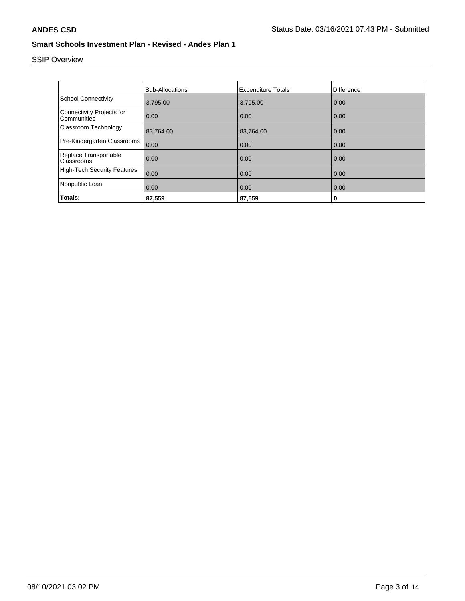# SSIP Overview

|                                                 | <b>Sub-Allocations</b> | <b>Expenditure Totals</b> | Difference |
|-------------------------------------------------|------------------------|---------------------------|------------|
| <b>School Connectivity</b>                      | 3,795.00               | 3,795.00                  | 0.00       |
| <b>Connectivity Projects for</b><br>Communities | 0.00                   | 0.00                      | 0.00       |
| Classroom Technology                            | 83,764.00              | 83,764.00                 | 0.00       |
| Pre-Kindergarten Classrooms                     | 0.00                   | 0.00                      | 0.00       |
| Replace Transportable<br>Classrooms             | 0.00                   | 0.00                      | 0.00       |
| <b>High-Tech Security Features</b>              | 0.00                   | 0.00                      | 0.00       |
| Nonpublic Loan                                  | 0.00                   | 0.00                      | 0.00       |
| Totals:                                         | 87,559                 | 87,559                    | 0          |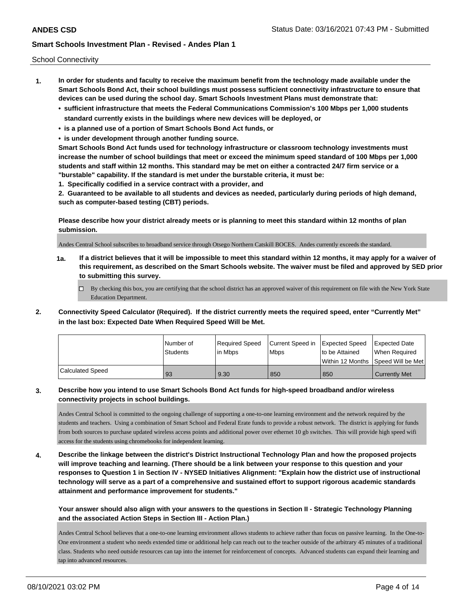School Connectivity

- **1. In order for students and faculty to receive the maximum benefit from the technology made available under the Smart Schools Bond Act, their school buildings must possess sufficient connectivity infrastructure to ensure that devices can be used during the school day. Smart Schools Investment Plans must demonstrate that:**
	- **• sufficient infrastructure that meets the Federal Communications Commission's 100 Mbps per 1,000 students standard currently exists in the buildings where new devices will be deployed, or**
	- **• is a planned use of a portion of Smart Schools Bond Act funds, or**
	- **• is under development through another funding source.**

**Smart Schools Bond Act funds used for technology infrastructure or classroom technology investments must increase the number of school buildings that meet or exceed the minimum speed standard of 100 Mbps per 1,000 students and staff within 12 months. This standard may be met on either a contracted 24/7 firm service or a "burstable" capability. If the standard is met under the burstable criteria, it must be:**

**1. Specifically codified in a service contract with a provider, and**

**2. Guaranteed to be available to all students and devices as needed, particularly during periods of high demand, such as computer-based testing (CBT) periods.**

**Please describe how your district already meets or is planning to meet this standard within 12 months of plan submission.**

Andes Central School subscribes to broadband service through Otsego Northern Catskill BOCES. Andes currently exceeds the standard.

**1a. If a district believes that it will be impossible to meet this standard within 12 months, it may apply for a waiver of this requirement, as described on the Smart Schools website. The waiver must be filed and approved by SED prior to submitting this survey.**

 $\Box$  By checking this box, you are certifying that the school district has an approved waiver of this requirement on file with the New York State Education Department.

**2. Connectivity Speed Calculator (Required). If the district currently meets the required speed, enter "Currently Met" in the last box: Expected Date When Required Speed Will be Met.**

|                  | I Number of<br><b>Students</b> | Required Speed<br>lin Mbps | Current Speed in<br><b>Mbps</b> | Expected Speed<br>to be Attained | <b>Expected Date</b><br>When Reauired |
|------------------|--------------------------------|----------------------------|---------------------------------|----------------------------------|---------------------------------------|
|                  |                                |                            |                                 |                                  | Within 12 Months 1Speed Will be Met   |
| Calculated Speed | 93                             | 9.30                       | 850                             | 850                              | <b>Currently Met</b>                  |

### **3. Describe how you intend to use Smart Schools Bond Act funds for high-speed broadband and/or wireless connectivity projects in school buildings.**

Andes Central School is committed to the ongoing challenge of supporting a one-to-one learning environment and the network required by the students and teachers. Using a combination of Smart School and Federal Erate funds to provide a robust network. The district is applying for funds from both sources to purchase updated wireless access points and additional power over ethernet 10 gb switches. This will provide high speed wifi access for the students using chromebooks for independent learning.

**4. Describe the linkage between the district's District Instructional Technology Plan and how the proposed projects will improve teaching and learning. (There should be a link between your response to this question and your responses to Question 1 in Section IV - NYSED Initiatives Alignment: "Explain how the district use of instructional technology will serve as a part of a comprehensive and sustained effort to support rigorous academic standards attainment and performance improvement for students."** 

**Your answer should also align with your answers to the questions in Section II - Strategic Technology Planning and the associated Action Steps in Section III - Action Plan.)**

Andes Central School believes that a one-to-one learning environment allows students to achieve rather than focus on passive learning. In the One-to-One environment a student who needs extended time or additional help can reach out to the teacher outside of the arbitrary 45 minutes of a traditional class. Students who need outside resources can tap into the internet for reinforcement of concepts. Advanced students can expand their learning and tap into advanced resources.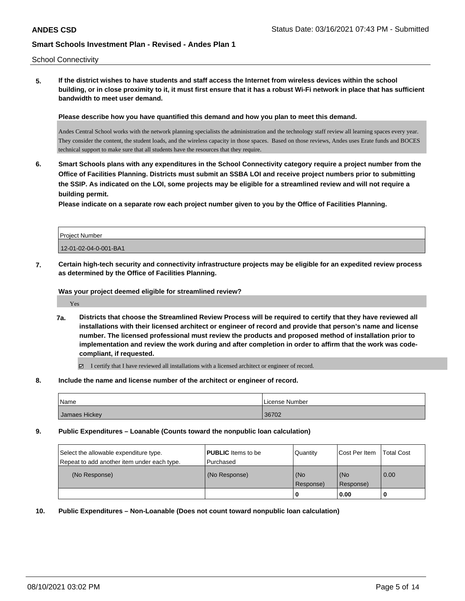School Connectivity

**5. If the district wishes to have students and staff access the Internet from wireless devices within the school building, or in close proximity to it, it must first ensure that it has a robust Wi-Fi network in place that has sufficient bandwidth to meet user demand.**

**Please describe how you have quantified this demand and how you plan to meet this demand.**

Andes Central School works with the network planning specialists the administration and the technology staff review all learning spaces every year. They consider the content, the student loads, and the wireless capacity in those spaces. Based on those reviews, Andes uses Erate funds and BOCES technical support to make sure that all students have the resources that they require.

**6. Smart Schools plans with any expenditures in the School Connectivity category require a project number from the Office of Facilities Planning. Districts must submit an SSBA LOI and receive project numbers prior to submitting the SSIP. As indicated on the LOI, some projects may be eligible for a streamlined review and will not require a building permit.**

**Please indicate on a separate row each project number given to you by the Office of Facilities Planning.**

| Project Number        |  |
|-----------------------|--|
| 12-01-02-04-0-001-BA1 |  |

**7. Certain high-tech security and connectivity infrastructure projects may be eligible for an expedited review process as determined by the Office of Facilities Planning.**

**Was your project deemed eligible for streamlined review?**

Yes

**7a. Districts that choose the Streamlined Review Process will be required to certify that they have reviewed all installations with their licensed architect or engineer of record and provide that person's name and license number. The licensed professional must review the products and proposed method of installation prior to implementation and review the work during and after completion in order to affirm that the work was codecompliant, if requested.**

I certify that I have reviewed all installations with a licensed architect or engineer of record.

**8. Include the name and license number of the architect or engineer of record.**

| Name          | License Number |
|---------------|----------------|
| Jamaes Hickey | 36702          |

**9. Public Expenditures – Loanable (Counts toward the nonpublic loan calculation)**

| Select the allowable expenditure type.<br>Repeat to add another item under each type. | <b>PUBLIC</b> Items to be<br>l Purchased | Quantity           | Cost Per Item    | <b>Total Cost</b> |
|---------------------------------------------------------------------------------------|------------------------------------------|--------------------|------------------|-------------------|
| (No Response)                                                                         | (No Response)                            | (No<br>l Response) | (No<br>Response) | 0.00              |
|                                                                                       |                                          | U                  | 0.00             |                   |

**10. Public Expenditures – Non-Loanable (Does not count toward nonpublic loan calculation)**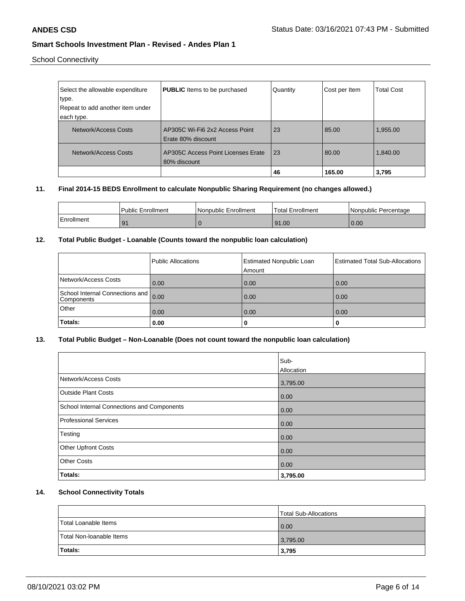School Connectivity

| Select the allowable expenditure | <b>PUBLIC</b> Items to be purchased | Quantity | Cost per Item | <b>Total Cost</b> |
|----------------------------------|-------------------------------------|----------|---------------|-------------------|
| type.                            |                                     |          |               |                   |
| Repeat to add another item under |                                     |          |               |                   |
| each type.                       |                                     |          |               |                   |
| Network/Access Costs             | AP305C Wi-Fi6 2x2 Access Point      | 23       | 85.00         | 1,955.00          |
|                                  | Erate 80% discount                  |          |               |                   |
| Network/Access Costs             | AP305C Access Point Licenses Erate  | 23       | 80.00         | 1,840.00          |
|                                  | 80% discount                        |          |               |                   |
|                                  |                                     | 46       | 165.00        | 3,795             |

### **11. Final 2014-15 BEDS Enrollment to calculate Nonpublic Sharing Requirement (no changes allowed.)**

|            | <b>Public Enrollment</b> | Nonpublic Enrollment | Total Enrollment | I Nonpublic Percentage |
|------------|--------------------------|----------------------|------------------|------------------------|
| Enrollment |                          |                      | 91.00            | 0.00                   |

# **12. Total Public Budget - Loanable (Counts toward the nonpublic loan calculation)**

|                                                 | Public Allocations | <b>Estimated Nonpublic Loan</b><br>Amount | Estimated Total Sub-Allocations |
|-------------------------------------------------|--------------------|-------------------------------------------|---------------------------------|
| Network/Access Costs                            | 0.00               | 0.00                                      | 0.00                            |
| School Internal Connections and  <br>Components | 0.00               | 0.00                                      | 0.00                            |
| Other                                           | 0.00               | 0.00                                      | 0.00                            |
| Totals:                                         | 0.00               | 0                                         | 0                               |

### **13. Total Public Budget – Non-Loanable (Does not count toward the nonpublic loan calculation)**

|                                            | Sub-       |
|--------------------------------------------|------------|
|                                            | Allocation |
| Network/Access Costs                       | 3,795.00   |
| <b>Outside Plant Costs</b>                 | 0.00       |
| School Internal Connections and Components | 0.00       |
| <b>Professional Services</b>               | 0.00       |
| Testing                                    | 0.00       |
| <b>Other Upfront Costs</b>                 | 0.00       |
| <b>Other Costs</b>                         | 0.00       |
| <b>Totals:</b>                             | 3,795.00   |

# **14. School Connectivity Totals**

|                          | Total Sub-Allocations |
|--------------------------|-----------------------|
| Total Loanable Items     | $\overline{0.00}$     |
| Total Non-Ioanable Items | 3,795.00              |
| Totals:                  | 3,795                 |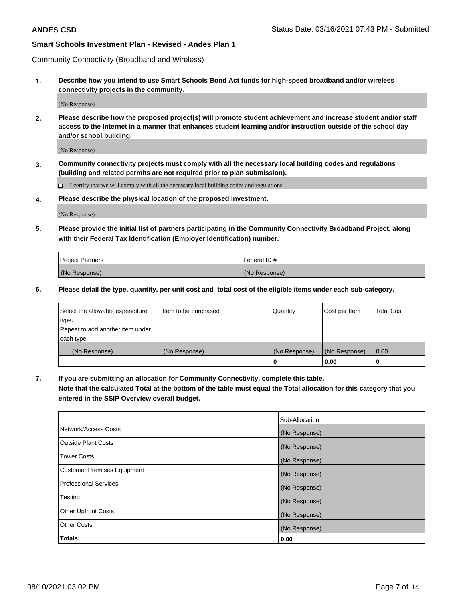Community Connectivity (Broadband and Wireless)

**1. Describe how you intend to use Smart Schools Bond Act funds for high-speed broadband and/or wireless connectivity projects in the community.**

(No Response)

**2. Please describe how the proposed project(s) will promote student achievement and increase student and/or staff access to the Internet in a manner that enhances student learning and/or instruction outside of the school day and/or school building.**

(No Response)

**3. Community connectivity projects must comply with all the necessary local building codes and regulations (building and related permits are not required prior to plan submission).**

 $\Box$  I certify that we will comply with all the necessary local building codes and regulations.

**4. Please describe the physical location of the proposed investment.**

(No Response)

**5. Please provide the initial list of partners participating in the Community Connectivity Broadband Project, along with their Federal Tax Identification (Employer Identification) number.**

| <b>Project Partners</b> | l Federal ID # |
|-------------------------|----------------|
| (No Response)           | (No Response)  |

**6. Please detail the type, quantity, per unit cost and total cost of the eligible items under each sub-category.**

| Select the allowable expenditure | Item to be purchased | Quantity      | Cost per Item | <b>Total Cost</b> |
|----------------------------------|----------------------|---------------|---------------|-------------------|
| type.                            |                      |               |               |                   |
| Repeat to add another item under |                      |               |               |                   |
| each type.                       |                      |               |               |                   |
| (No Response)                    | (No Response)        | (No Response) | (No Response) | 0.00              |
|                                  |                      | o             | 0.00          |                   |

**7. If you are submitting an allocation for Community Connectivity, complete this table.**

**Note that the calculated Total at the bottom of the table must equal the Total allocation for this category that you entered in the SSIP Overview overall budget.**

|                                    | Sub-Allocation |
|------------------------------------|----------------|
| Network/Access Costs               | (No Response)  |
| Outside Plant Costs                | (No Response)  |
| <b>Tower Costs</b>                 | (No Response)  |
| <b>Customer Premises Equipment</b> | (No Response)  |
| <b>Professional Services</b>       | (No Response)  |
| Testing                            | (No Response)  |
| <b>Other Upfront Costs</b>         | (No Response)  |
| <b>Other Costs</b>                 | (No Response)  |
| Totals:                            | 0.00           |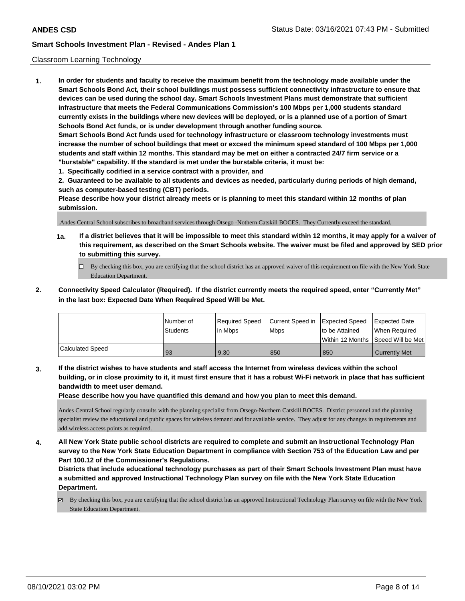#### Classroom Learning Technology

**1. In order for students and faculty to receive the maximum benefit from the technology made available under the Smart Schools Bond Act, their school buildings must possess sufficient connectivity infrastructure to ensure that devices can be used during the school day. Smart Schools Investment Plans must demonstrate that sufficient infrastructure that meets the Federal Communications Commission's 100 Mbps per 1,000 students standard currently exists in the buildings where new devices will be deployed, or is a planned use of a portion of Smart Schools Bond Act funds, or is under development through another funding source. Smart Schools Bond Act funds used for technology infrastructure or classroom technology investments must increase the number of school buildings that meet or exceed the minimum speed standard of 100 Mbps per 1,000 students and staff within 12 months. This standard may be met on either a contracted 24/7 firm service or a "burstable" capability. If the standard is met under the burstable criteria, it must be:**

**1. Specifically codified in a service contract with a provider, and**

**2. Guaranteed to be available to all students and devices as needed, particularly during periods of high demand, such as computer-based testing (CBT) periods.**

**Please describe how your district already meets or is planning to meet this standard within 12 months of plan submission.**

.Andes Central School subscribes to broadband services through Otsego -Nothern Catskill BOCES. They Currently exceed the standard.

- **1a. If a district believes that it will be impossible to meet this standard within 12 months, it may apply for a waiver of this requirement, as described on the Smart Schools website. The waiver must be filed and approved by SED prior to submitting this survey.**
	- By checking this box, you are certifying that the school district has an approved waiver of this requirement on file with the New York State Education Department.
- **2. Connectivity Speed Calculator (Required). If the district currently meets the required speed, enter "Currently Met" in the last box: Expected Date When Required Speed Will be Met.**

|                  | l Number of     | Required Speed | Current Speed in | Expected Speed     | Expected Date        |
|------------------|-----------------|----------------|------------------|--------------------|----------------------|
|                  | <b>Students</b> | in Mbps        | <b>Mbps</b>      | to be Attained     | When Required        |
|                  |                 |                |                  | l Within 12 Months | Speed Will be Met    |
| Calculated Speed | 93              | 9.30           | 850              | 850                | <b>Currently Met</b> |

**3. If the district wishes to have students and staff access the Internet from wireless devices within the school building, or in close proximity to it, it must first ensure that it has a robust Wi-Fi network in place that has sufficient bandwidth to meet user demand.**

**Please describe how you have quantified this demand and how you plan to meet this demand.**

Andes Central School regularly consults with the planning specialist from Otsego-Northern Catskill BOCES. District personnel and the planning specialist review the educational and public spaces for wireless demand and for available service. They adjust for any changes in requirements and add wireless access points as required.

**4. All New York State public school districts are required to complete and submit an Instructional Technology Plan survey to the New York State Education Department in compliance with Section 753 of the Education Law and per Part 100.12 of the Commissioner's Regulations.**

**Districts that include educational technology purchases as part of their Smart Schools Investment Plan must have a submitted and approved Instructional Technology Plan survey on file with the New York State Education Department.**

By checking this box, you are certifying that the school district has an approved Instructional Technology Plan survey on file with the New York State Education Department.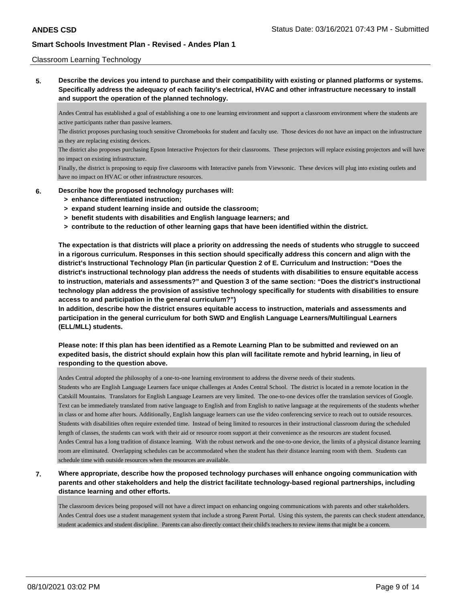#### Classroom Learning Technology

**5. Describe the devices you intend to purchase and their compatibility with existing or planned platforms or systems. Specifically address the adequacy of each facility's electrical, HVAC and other infrastructure necessary to install and support the operation of the planned technology.**

Andes Central has established a goal of establishing a one to one learning environment and support a classroom environment where the students are active participants rather than passive learners.

The district proposes purchasing touch sensitive Chromebooks for student and faculty use. Those devices do not have an impact on the infrastructure as they are replacing existing devices.

The district also proposes purchasing Epson Interactive Projectors for their classrooms. These projectors will replace existing projectors and will have no impact on existing infrastructure.

Finally, the district is proposing to equip five classrooms with Interactive panels from Viewsonic. These devices will plug into existing outlets and have no impact on HVAC or other infrastructure resources.

#### **6. Describe how the proposed technology purchases will:**

- **> enhance differentiated instruction;**
- **> expand student learning inside and outside the classroom;**
- **> benefit students with disabilities and English language learners; and**
- **> contribute to the reduction of other learning gaps that have been identified within the district.**

**The expectation is that districts will place a priority on addressing the needs of students who struggle to succeed in a rigorous curriculum. Responses in this section should specifically address this concern and align with the district's Instructional Technology Plan (in particular Question 2 of E. Curriculum and Instruction: "Does the district's instructional technology plan address the needs of students with disabilities to ensure equitable access to instruction, materials and assessments?" and Question 3 of the same section: "Does the district's instructional technology plan address the provision of assistive technology specifically for students with disabilities to ensure access to and participation in the general curriculum?")**

**In addition, describe how the district ensures equitable access to instruction, materials and assessments and participation in the general curriculum for both SWD and English Language Learners/Multilingual Learners (ELL/MLL) students.**

### **Please note: If this plan has been identified as a Remote Learning Plan to be submitted and reviewed on an expedited basis, the district should explain how this plan will facilitate remote and hybrid learning, in lieu of responding to the question above.**

Andes Central adopted the philosophy of a one-to-one learning environment to address the diverse needs of their students.

Students who are English Language Learners face unique challenges at Andes Central School. The district is located in a remote location in the Catskill Mountains. Translators for English Language Learners are very limited. The one-to-one devices offer the translation services of Google. Text can be immediately translated from native language to English and from English to native language at the requirements of the students whether in class or and home after hours. Additionally, English language learners can use the video conferencing service to reach out to outside resources. Students with disabilities often require extended time. Instead of being limited to resources in their instructional classroom during the scheduled length of classes, the students can work with their aid or resource room support at their convenience as the resources are student focused. Andes Central has a long tradition of distance learning. With the robust network and the one-to-one device, the limits of a physical distance learning room are eliminated. Overlapping schedules can be accommodated when the student has their distance learning room with them. Students can schedule time with outside resources when the resources are available.

# **7. Where appropriate, describe how the proposed technology purchases will enhance ongoing communication with parents and other stakeholders and help the district facilitate technology-based regional partnerships, including distance learning and other efforts.**

The classroom devices being proposed will not have a direct impact on enhancing ongoing communications with parents and other stakeholders. Andes Central does use a student management system that include a strong Parent Portal. Using this system, the parents can check student attendance, student academics and student discipline. Parents can also directly contact their child's teachers to review items that might be a concern.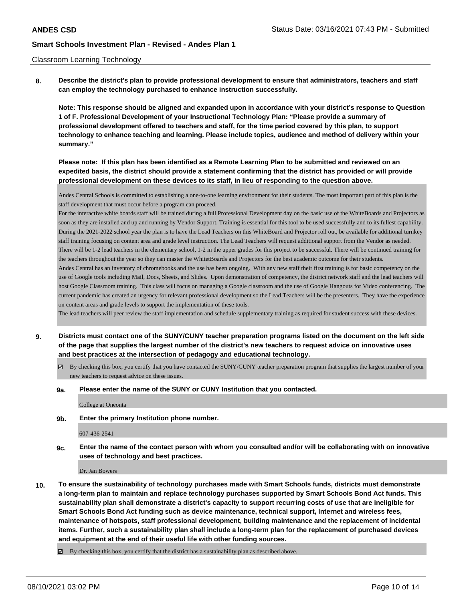#### Classroom Learning Technology

**8. Describe the district's plan to provide professional development to ensure that administrators, teachers and staff can employ the technology purchased to enhance instruction successfully.**

**Note: This response should be aligned and expanded upon in accordance with your district's response to Question 1 of F. Professional Development of your Instructional Technology Plan: "Please provide a summary of professional development offered to teachers and staff, for the time period covered by this plan, to support technology to enhance teaching and learning. Please include topics, audience and method of delivery within your summary."**

**Please note: If this plan has been identified as a Remote Learning Plan to be submitted and reviewed on an expedited basis, the district should provide a statement confirming that the district has provided or will provide professional development on these devices to its staff, in lieu of responding to the question above.**

Andes Central Schools is committed to establishing a one-to-one learning environment for their students. The most important part of this plan is the staff development that must occur before a program can proceed.

For the interactive white boards staff will be trained during a full Professional Development day on the basic use of the WhiteBoards and Projectors as soon as they are installed and up and running by Vendor Support. Training is essential for this tool to be used successfully and to its fullest capability. During the 2021-2022 school year the plan is to have the Lead Teachers on this WhiteBoard and Projector roll out, be available for additional turnkey staff training focusing on content area and grade level instruction. The Lead Teachers will request additional support from the Vendor as needed. There will be 1-2 lead teachers in the elementary school, 1-2 in the upper grades for this project to be successful. There will be continued training for the teachers throughout the year so they can master the WhitetBoards and Projectors for the best academic outcome for their students.

Andes Central has an inventory of chromebooks and the use has been ongoing. With any new staff their first training is for basic competency on the use of Google tools including Mail, Docs, Sheets, and Slides. Upon demonstration of competency, the district network staff and the lead teachers will host Google Classroom training. This class will focus on managing a Google classroom and the use of Google Hangouts for Video conferencing. The current pandemic has created an urgency for relevant professional development so the Lead Teachers will be the presenters. They have the experience on content areas and grade levels to support the implementation of these tools.

The lead teachers will peer review the staff implementation and schedule supplementary training as required for student success with these devices.

- **9. Districts must contact one of the SUNY/CUNY teacher preparation programs listed on the document on the left side of the page that supplies the largest number of the district's new teachers to request advice on innovative uses and best practices at the intersection of pedagogy and educational technology.**
	- By checking this box, you certify that you have contacted the SUNY/CUNY teacher preparation program that supplies the largest number of your new teachers to request advice on these issues.
	- **9a. Please enter the name of the SUNY or CUNY Institution that you contacted.**

College at Oneonta

**9b. Enter the primary Institution phone number.**

#### 607-436-2541

**9c. Enter the name of the contact person with whom you consulted and/or will be collaborating with on innovative uses of technology and best practices.**

Dr. Jan Bowers

**10. To ensure the sustainability of technology purchases made with Smart Schools funds, districts must demonstrate a long-term plan to maintain and replace technology purchases supported by Smart Schools Bond Act funds. This sustainability plan shall demonstrate a district's capacity to support recurring costs of use that are ineligible for Smart Schools Bond Act funding such as device maintenance, technical support, Internet and wireless fees, maintenance of hotspots, staff professional development, building maintenance and the replacement of incidental items. Further, such a sustainability plan shall include a long-term plan for the replacement of purchased devices and equipment at the end of their useful life with other funding sources.**

By checking this box, you certify that the district has a sustainability plan as described above.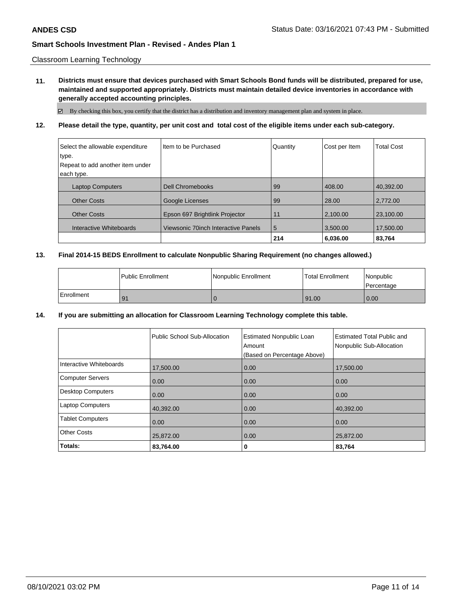Classroom Learning Technology

**11. Districts must ensure that devices purchased with Smart Schools Bond funds will be distributed, prepared for use, maintained and supported appropriately. Districts must maintain detailed device inventories in accordance with generally accepted accounting principles.**

By checking this box, you certify that the district has a distribution and inventory management plan and system in place.

### **12. Please detail the type, quantity, per unit cost and total cost of the eligible items under each sub-category.**

| Select the allowable expenditure | I Item to be Purchased              | Quantity | Cost per Item | <b>Total Cost</b> |
|----------------------------------|-------------------------------------|----------|---------------|-------------------|
| type.                            |                                     |          |               |                   |
| Repeat to add another item under |                                     |          |               |                   |
| each type.                       |                                     |          |               |                   |
| <b>Laptop Computers</b>          | <b>Dell Chromebooks</b>             | 99       | 408.00        | 40.392.00         |
| <b>Other Costs</b>               | Google Licenses                     | 99       | 28.00         | 2.772.00          |
| <b>Other Costs</b>               | Epson 697 Brightlink Projector      | 11       | 2,100.00      | 23,100.00         |
| Interactive Whiteboards          | Viewsonic 70inch Interactive Panels | 5        | 3.500.00      | 17.500.00         |
|                                  |                                     | 214      | 6.036.00      | 83,764            |

### **13. Final 2014-15 BEDS Enrollment to calculate Nonpublic Sharing Requirement (no changes allowed.)**

|            | l Public Enrollment | Nonpublic Enrollment | l Total Enrollment | Nonpublic<br>l Percentage |
|------------|---------------------|----------------------|--------------------|---------------------------|
| Enrollment | -91                 |                      | 91.00              | 0.00                      |

#### **14. If you are submitting an allocation for Classroom Learning Technology complete this table.**

|                          | Public School Sub-Allocation | <b>Estimated Nonpublic Loan</b><br>Amount<br>(Based on Percentage Above) | <b>Estimated Total Public and</b><br>Nonpublic Sub-Allocation |
|--------------------------|------------------------------|--------------------------------------------------------------------------|---------------------------------------------------------------|
| Interactive Whiteboards  | 17,500.00                    | 0.00                                                                     | 17,500.00                                                     |
| <b>Computer Servers</b>  | 0.00                         | 0.00                                                                     | 0.00                                                          |
| <b>Desktop Computers</b> | 0.00                         | 0.00                                                                     | 0.00                                                          |
| <b>Laptop Computers</b>  | 40.392.00                    | 0.00                                                                     | 40.392.00                                                     |
| <b>Tablet Computers</b>  | 0.00                         | 0.00                                                                     | 0.00                                                          |
| <b>Other Costs</b>       | 25,872.00                    | 0.00                                                                     | 25,872.00                                                     |
| Totals:                  | 83,764.00                    | 0                                                                        | 83,764                                                        |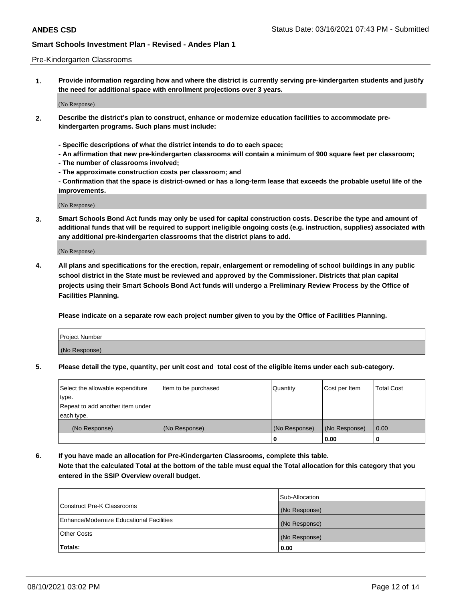#### Pre-Kindergarten Classrooms

**1. Provide information regarding how and where the district is currently serving pre-kindergarten students and justify the need for additional space with enrollment projections over 3 years.**

(No Response)

- **2. Describe the district's plan to construct, enhance or modernize education facilities to accommodate prekindergarten programs. Such plans must include:**
	- **Specific descriptions of what the district intends to do to each space;**
	- **An affirmation that new pre-kindergarten classrooms will contain a minimum of 900 square feet per classroom;**
	- **The number of classrooms involved;**
	- **The approximate construction costs per classroom; and**
	- **Confirmation that the space is district-owned or has a long-term lease that exceeds the probable useful life of the improvements.**

(No Response)

**3. Smart Schools Bond Act funds may only be used for capital construction costs. Describe the type and amount of additional funds that will be required to support ineligible ongoing costs (e.g. instruction, supplies) associated with any additional pre-kindergarten classrooms that the district plans to add.**

(No Response)

**4. All plans and specifications for the erection, repair, enlargement or remodeling of school buildings in any public school district in the State must be reviewed and approved by the Commissioner. Districts that plan capital projects using their Smart Schools Bond Act funds will undergo a Preliminary Review Process by the Office of Facilities Planning.**

**Please indicate on a separate row each project number given to you by the Office of Facilities Planning.**

| Project Number |  |
|----------------|--|
| (No Response)  |  |
|                |  |

**5. Please detail the type, quantity, per unit cost and total cost of the eligible items under each sub-category.**

| Select the allowable expenditure | Item to be purchased | Quantity      | Cost per Item | <b>Total Cost</b> |
|----------------------------------|----------------------|---------------|---------------|-------------------|
| type.                            |                      |               |               |                   |
| Repeat to add another item under |                      |               |               |                   |
| each type.                       |                      |               |               |                   |
| (No Response)                    | (No Response)        | (No Response) | (No Response) | 0.00              |
|                                  |                      | υ             | 0.00          |                   |

**6. If you have made an allocation for Pre-Kindergarten Classrooms, complete this table. Note that the calculated Total at the bottom of the table must equal the Total allocation for this category that you entered in the SSIP Overview overall budget.**

|                                          | Sub-Allocation |
|------------------------------------------|----------------|
| Construct Pre-K Classrooms               | (No Response)  |
| Enhance/Modernize Educational Facilities | (No Response)  |
| <b>Other Costs</b>                       | (No Response)  |
| Totals:                                  | 0.00           |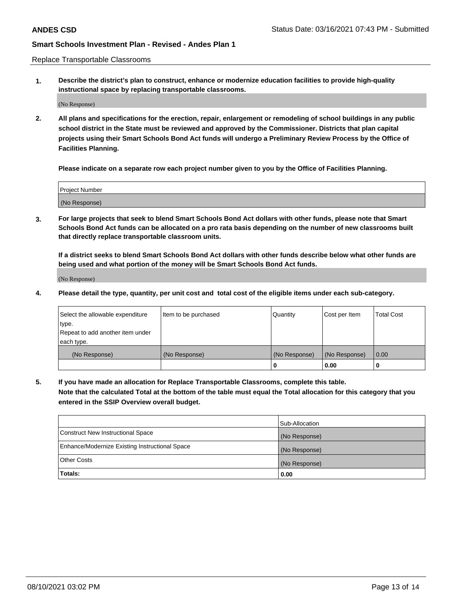Replace Transportable Classrooms

**1. Describe the district's plan to construct, enhance or modernize education facilities to provide high-quality instructional space by replacing transportable classrooms.**

(No Response)

**2. All plans and specifications for the erection, repair, enlargement or remodeling of school buildings in any public school district in the State must be reviewed and approved by the Commissioner. Districts that plan capital projects using their Smart Schools Bond Act funds will undergo a Preliminary Review Process by the Office of Facilities Planning.**

**Please indicate on a separate row each project number given to you by the Office of Facilities Planning.**

| Project Number |  |
|----------------|--|
|                |  |
|                |  |
|                |  |
|                |  |
| (No Response)  |  |
|                |  |
|                |  |
|                |  |

**3. For large projects that seek to blend Smart Schools Bond Act dollars with other funds, please note that Smart Schools Bond Act funds can be allocated on a pro rata basis depending on the number of new classrooms built that directly replace transportable classroom units.**

**If a district seeks to blend Smart Schools Bond Act dollars with other funds describe below what other funds are being used and what portion of the money will be Smart Schools Bond Act funds.**

(No Response)

**4. Please detail the type, quantity, per unit cost and total cost of the eligible items under each sub-category.**

| Select the allowable expenditure | Item to be purchased | Quantity      | Cost per Item | Total Cost |
|----------------------------------|----------------------|---------------|---------------|------------|
| ∣type.                           |                      |               |               |            |
| Repeat to add another item under |                      |               |               |            |
| each type.                       |                      |               |               |            |
| (No Response)                    | (No Response)        | (No Response) | (No Response) | 0.00       |
|                                  |                      | u             | 0.00          |            |

**5. If you have made an allocation for Replace Transportable Classrooms, complete this table. Note that the calculated Total at the bottom of the table must equal the Total allocation for this category that you entered in the SSIP Overview overall budget.**

|                                                | Sub-Allocation |
|------------------------------------------------|----------------|
| Construct New Instructional Space              | (No Response)  |
| Enhance/Modernize Existing Instructional Space | (No Response)  |
| Other Costs                                    | (No Response)  |
| Totals:                                        | 0.00           |